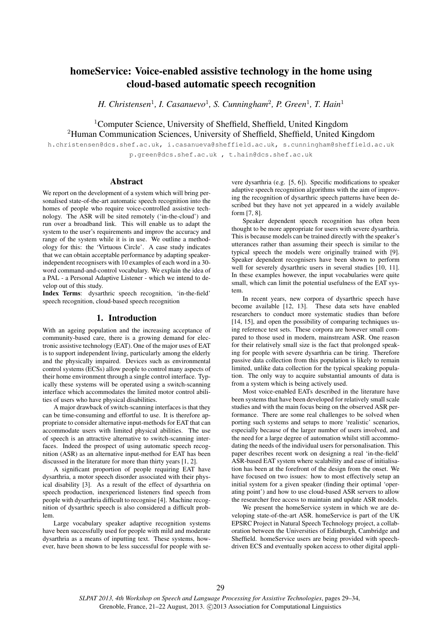# homeService: Voice-enabled assistive technology in the home using cloud-based automatic speech recognition

*H. Christensen*<sup>1</sup>, *I. Casanuevo*<sup>1</sup>, *S. Cunningham*<sup>2</sup>, *P. Green*<sup>1</sup>, *T. Hain*<sup>1</sup>

<sup>1</sup>Computer Science, University of Sheffield, Sheffield, United Kingdom <sup>2</sup>Human Communication Sciences, University of Sheffield, Sheffield, United Kingdom

h.christensen@dcs.shef.ac.uk, i.casanueva@sheffield.ac.uk, s.cunningham@sheffield.ac.uk p.green@dcs.shef.ac.uk , t.hain@dcs.shef.ac.uk

## Abstract

We report on the development of a system which will bring personalised state-of-the-art automatic speech recognition into the homes of people who require voice-controlled assistive technology. The ASR will be sited remotely ('in-the-cloud') and run over a broadband link. This will enable us to adapt the system to the user's requirements and improv the accuracy and range of the system while it is in use. We outline a methodology for this: the 'Virtuous Circle'. A case study indicates that we can obtain acceptable performance by adapting speakerindependent recognisers with 10 examples of each word in a 30 word command-and-control vocabulary. We explain the idea of a PAL - a Personal Adaptive Listener - which we intend to develop out of this study.

Index Terms: dysarthric speech recognition, 'in-the-field' speech recognition, cloud-based speech recognition

## 1. Introduction

With an ageing population and the increasing acceptance of community-based care, there is a growing demand for electronic assistive technology (EAT). One of the major uses of EAT is to support independent living, particularly among the elderly and the physically impaired. Devices such as environmental control systems (ECSs) allow people to control many aspects of their home environment through a single control interface. Typically these systems will be operated using a switch-scanning interface which accommodates the limited motor control abilities of users who have physical disabilities.

A major drawback of switch-scanning interfaces is that they can be time-consuming and effortful to use. It is therefore appropriate to consider alternative input-methods for EAT that can accommodate users with limited physical abilities. The use of speech is an attractive alternative to switch-scanning interfaces. Indeed the prospect of using automatic speech recognition (ASR) as an alternative input-method for EAT has been discussed in the literature for more than thirty years [1, 2].

A significant proportion of people requiring EAT have dysarthria, a motor speech disorder associated with their physical disability [3]. As a result of the effect of dysarthria on speech production, inexperienced listeners find speech from people with dysarthria difficult to recognise [4]. Machine recognition of dysarthric speech is also considered a difficult problem.

Large vocabulary speaker adaptive recognition systems have been successfully used for people with mild and moderate dysarthria as a means of inputting text. These systems, however, have been shown to be less successful for people with se-

vere dysarthria (e.g. [5, 6]). Specific modifications to speaker adaptive speech recognition algorithms with the aim of improving the recognition of dysarthric speech patterns have been described but they have not yet appeared in a widely available form [7, 8].

Speaker dependent speech recognition has often been thought to be more appropriate for users with severe dysarthria. This is because models can be trained directly with the speaker's utterances rather than assuming their speech is similar to the typical speech the models were originally trained with [9]. Speaker dependent recognisers have been shown to perform well for severely dysarthric users in several studies [10, 11]. In these examples however, the input vocabularies were quite small, which can limit the potential usefulness of the EAT system.

In recent years, new corpora of dysarthric speech have become available [12, 13]. These data sets have enabled researchers to conduct more systematic studies than before [14, 15], and open the possibility of comparing techniques using reference test sets. These corpora are however small compared to those used in modern, mainstream ASR. One reason for their relatively small size is the fact that prolonged speaking for people with severe dysarthria can be tiring. Therefore passive data collection from this population is likely to remain limited, unlike data collection for the typical speaking population. The only way to acquire substantial amounts of data is from a system which is being actively used.

Most voice-enabled EATs described in the literature have been systems that have been developed for relatively small scale studies and with the main focus being on the observed ASR performance. There are some real challenges to be solved when porting such systems and setups to more 'realistic' scenarios, especially because of the larger number of users involved, and the need for a large degree of automation whilst still accommodating the needs of the individual users for personalisation. This paper describes recent work on designing a real 'in-the-field' ASR-based EAT system where scalability and ease of initialisation has been at the forefront of the design from the onset. We have focused on two issues: how to most effectively setup an initial system for a given speaker (finding their optimal 'operating point') and how to use cloud-based ASR servers to allow the researcher free access to maintain and update ASR models.

We present the homeService system in which we are developing state-of-the-art ASR. homeService is part of the UK EPSRC Project in Natural Speech Technology project, a collaboration between the Universities of Edinburgh, Cambridge and Sheffield. homeService users are being provided with speechdriven ECS and eventually spoken access to other digital appli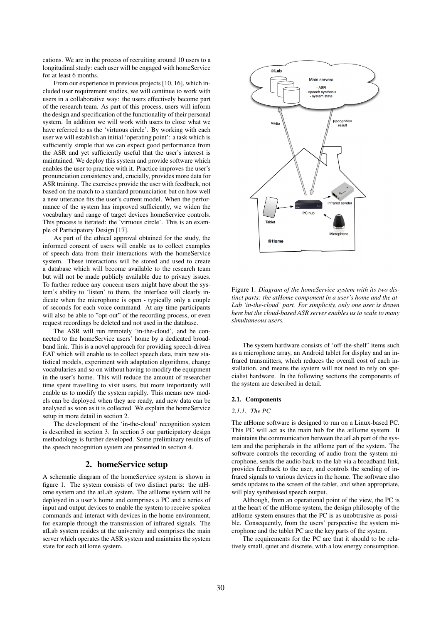cations. We are in the process of recruiting around 10 users to a longitudinal study: each user will be engaged with homeService for at least 6 months.

From our experience in previous projects [10, 16], which included user requirement studies, we will continue to work with users in a collaborative way: the users effectively become part of the research team. As part of this process, users will inform the design and specification of the functionality of their personal system. In addition we will work with users to close what we have referred to as the 'virtuous circle'. By working with each user we will establish an initial 'operating point': a task which is sufficiently simple that we can expect good performance from the ASR and yet sufficiently useful that the user's interest is maintained. We deploy this system and provide software which enables the user to practice with it. Practice improves the user's pronunciation consistency and, crucially, provides more data for ASR training. The exercises provide the user with feedback, not based on the match to a standard pronunciation but on how well a new utterance fits the user's current model. When the performance of the system has improved sufficiently, we widen the vocabulary and range of target devices homeService controls. This process is iterated: the 'virtuous circle'. This is an example of Participatory Design [17].

As part of the ethical approval obtained for the study, the informed consent of users will enable us to collect examples of speech data from their interactions with the homeService system. These interactions will be stored and used to create a database which will become available to the research team but will not be made publicly available due to privacy issues. To further reduce any concern users might have about the system's ability to 'listen' to them, the interface will clearly indicate when the microphone is open - typically only a couple of seconds for each voice command. At any time participants will also be able to "opt-out" of the recording process, or even request recordings be deleted and not used in the database.

The ASR will run remotely 'in-the-cloud', and be connected to the homeService users' home by a dedicated broadband link. This is a novel approach for providing speech-driven EAT which will enable us to collect speech data, train new statistical models, experiment with adaptation algorithms, change vocabularies and so on without having to modify the equipment in the user's home. This will reduce the amount of researcher time spent travelling to visit users, but more importantly will enable us to modify the system rapidly. This means new models can be deployed when they are ready, and new data can be analysed as soon as it is collected. We explain the homeService setup in more detail in section 2.

The development of the 'in-the-cloud' recognition system is described in section 3. In section 5 our participatory design methodology is further developed. Some preliminary results of the speech recognition system are presented in section 4.

## 2. homeService setup

A schematic diagram of the homeService system is shown in figure 1. The system consists of two distinct parts: the atHome system and the atLab system. The atHome system will be deployed in a user's home and comprises a PC and a series of input and output devices to enable the system to receive spoken commands and interact with devices in the home environment, for example through the transmission of infrared signals. The atLab system resides at the university and comprises the main server which operates the ASR system and maintains the system state for each atHome system.



Figure 1: *Diagram of the homeService system with its two distinct parts: the atHome component in a user's home and the at-Lab 'in-the-cloud' part. For simplicity, only one user is drawn here but the cloud-based ASR server enables us to scale to many simultaneous users.*

The system hardware consists of 'off-the-shelf' items such as a microphone array, an Android tablet for display and an infrared transmitters, which reduces the overall cost of each installation, and means the system will not need to rely on specialist hardware. In the following sections the components of the system are described in detail.

### 2.1. Components

## *2.1.1. The PC*

The atHome software is designed to run on a Linux-based PC. This PC will act as the main hub for the atHome system. It maintains the communication between the atLab part of the system and the peripherals in the atHome part of the system. The software controls the recording of audio from the system microphone, sends the audio back to the lab via a broadband link, provides feedback to the user, and controls the sending of infrared signals to various devices in the home. The software also sends updates to the screen of the tablet, and when appropriate, will play synthesised speech output.

Although, from an operational point of the view, the PC is at the heart of the atHome system, the design philosophy of the atHome system ensures that the PC is as unobtrusive as possible. Consequently, from the users' perspective the system microphone and the tablet PC are the key parts of the system.

The requirements for the PC are that it should to be relatively small, quiet and discrete, with a low energy consumption.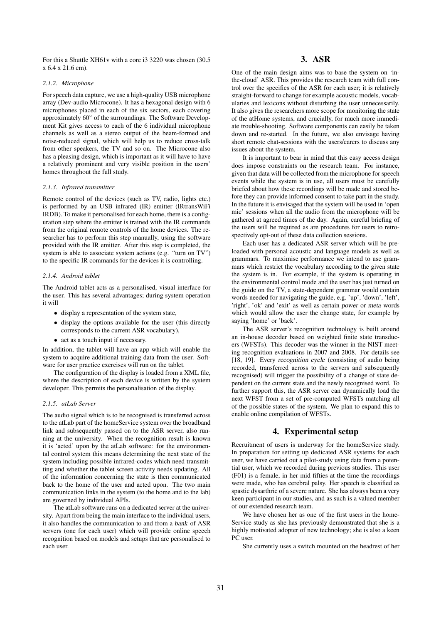For this a Shuttle XH61v with a core i3 3220 was chosen (30.5 x 6.4 x 21.6 cm).

### *2.1.2. Microphone*

For speech data capture, we use a high-quality USB microphone array (Dev-audio Microcone). It has a hexagonal design with 6 microphones placed in each of the six sectors, each covering approximately  $60^{\circ}$  of the surroundings. The Software Development Kit gives access to each of the 6 individual microphone channels as well as a stereo output of the beam-formed and noise-reduced signal, which will help us to reduce cross-talk from other speakers, the TV and so on. The Microcone also has a pleasing design, which is important as it will have to have a relatively prominent and very visible position in the users' homes throughout the full study.

#### *2.1.3. Infrared transmitter*

Remote control of the devices (such as TV, radio, lights etc.) is performed by an USB infrared (IR) emitter (IRtransWiFi IRDB). To make it personalised for each home, there is a configuration step where the emitter is trained with the IR commands from the original remote controls of the home devices. The researcher has to perform this step manually, using the software provided with the IR emitter. After this step is completed, the system is able to associate system actions (e.g. "turn on TV") to the specific IR commands for the devices it is controlling.

#### *2.1.4. Android tablet*

The Android tablet acts as a personalised, visual interface for the user. This has several advantages; during system operation it will

- display a representation of the system state,
- display the options available for the user (this directly corresponds to the current ASR vocabulary),
- act as a touch input if necessary.

In addition, the tablet will have an app which will enable the system to acquire additional training data from the user. Software for user practice exercises will run on the tablet.

The configuration of the display is loaded from a XML file, where the description of each device is written by the system developer. This permits the personalisation of the display.

## *2.1.5. atLab Server*

The audio signal which is to be recognised is transferred across to the atLab part of the homeService system over the broadband link and subsequently passed on to the ASR server, also running at the university. When the recognition result is known it is 'acted' upon by the atLab software: for the environmental control system this means determining the next state of the system including possible infrared-codes which need transmitting and whether the tablet screen activity needs updating. All of the information concerning the state is then communicated back to the home of the user and acted upon. The two main communication links in the system (to the home and to the lab) are governed by individual APIs.

The atLab software runs on a dedicated server at the university. Apart from being the main interface to the individual users, it also handles the communication to and from a bank of ASR servers (one for each user) which will provide online speech recognition based on models and setups that are personalised to each user.

# 3. ASR

One of the main design aims was to base the system on 'inthe-cloud' ASR. This provides the research team with full control over the specifics of the ASR for each user; it is relatively straight-forward to change for example acoustic models, vocabularies and lexicons without disturbing the user unnecessarily. It also gives the researchers more scope for monitoring the state of the atHome systems, and crucially, for much more immediate trouble-shooting. Software components can easily be taken down and re-started. In the future, we also envisage having short remote chat-sessions with the users/carers to discuss any issues about the system.

It is important to bear in mind that this easy access design does impose constraints on the research team. For instance, given that data will be collected from the microphone for speech events while the system is in use, all users must be carefully briefed about how these recordings will be made and stored before they can provide informed consent to take part in the study. In the future it is envisaged that the system will be used in 'open mic' sessions when all the audio from the microphone will be gathered at agreed times of the day. Again, careful briefing of the users will be required as are procedures for users to retrospectively opt-out of these data collection sessions.

Each user has a dedicated ASR server which will be preloaded with personal acoustic and language models as well as grammars. To maximise performance we intend to use grammars which restrict the vocabulary according to the given state the system is in. For example, if the system is operating in the environmental control mode and the user has just turned on the guide on the TV, a state-dependent grammar would contain words needed for navigating the guide, e.g. 'up', 'down', 'left', 'right', 'ok' and 'exit' as well as certain power or meta words which would allow the user the change state, for example by saying 'home' or 'back'.

The ASR server's recognition technology is built around an in-house decoder based on weighted finite state transducers (WFSTs). This decoder was the winner in the NIST meeting recognition evaluations in 2007 and 2008. For details see [18, 19]. Every recognition cycle (consisting of audio being recorded, transferred across to the servers and subsequently recognised) will trigger the possibility of a change of state dependent on the current state and the newly recognised word. To further support this, the ASR server can dynamically load the next WFST from a set of pre-computed WFSTs matching all of the possible states of the system. We plan to expand this to enable online compilation of WFSTs.

## 4. Experimental setup

Recruitment of users is underway for the homeService study. In preparation for setting up dedicated ASR systems for each user, we have carried out a pilot-study using data from a potential user, which we recorded during previous studies. This user (F01) is a female, in her mid fifties at the time the recordings were made, who has cerebral palsy. Her speech is classified as spastic dysarthric of a severe nature. She has always been a very keen participant in our studies, and as such is a valued member of our extended research team.

We have chosen her as one of the first users in the home-Service study as she has previously demonstrated that she is a highly motivated adopter of new technology; she is also a keen PC user.

She currently uses a switch mounted on the headrest of her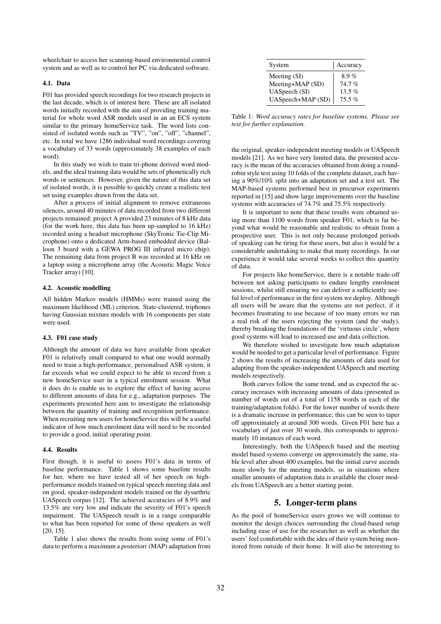wheelchair to access her scanning-based environmental control system and as well as to control her PC via dedicated software.

### 4.1. Data

F01 has provided speech recordings for two research projects in the last decade, which is of interest here. These are all isolated words initially recorded with the aim of providing training material for whole word ASR models used in an an ECS system similar to the primary homeService task. The word lists consisted of isolated words such as "TV", "on", "off", "channel", etc. In total we have 1286 individual word recordings covering a vocabulary of 33 words (approximately 38 examples of each word).

In this study we wish to train tri-phone derived word models, and the ideal training data would be sets of phonetically rich words or sentences. However, given the nature of this data set of isolated words, it is possible to quickly create a realistic test set using examples drawn from the data set.

After a process of initial alignment to remove extraneous silences, around 40 minutes of data recorded from two different projects remained; project A provided 23 minutes of 8 kHz data (for the work here, this data has been up-sampled to 16 kHz) recorded using a headset microphone (SkyTronic Tie-Clip Microphone) onto a dedicated Arm-based embedded device (Balloon 3 board with a GEWA PROG III infrared micro chip). The remaining data from project B was recorded at 16 kHz on a laptop using a microphone array (the Acoustic Magic Voice Tracker array) [10].

### 4.2. Acoustic modelling

All hidden Markov models (HMMs) were trained using the maximum likelihood (ML) criterion. State-clustered, triphones having Gaussian mixture models with 16 components per state were used.

### 4.3. F01 case study

Although the amount of data we have available from speaker F01 is relatively small compared to what one would normally need to train a high-performance, personalised ASR system, it far exceeds what we could expect to be able to record from a new homeService user in a typical enrolment session. What it does do is enable us to explore the effect of having access to different amounts of data for e.g., adaptation purposes. The experiments presented here aim to investigate the relationship between the quantity of training and recognition performance. When recruiting new users for homeService this will be a useful indicator of how much enrolment data will need to be recorded to provide a good, initial operating point.

### 4.4. Results

First though, it is useful to assess F01's data in terms of baseline performance. Table 1 shows some baseline results for her, where we have tested all of her speech on highperformance models trained on typical speech meeting data and on good, speaker-independent models trained on the dysarthric UASpeech corpus [12]. The achieved accuracies of 8.9% and 13.5% are very low and indicate the severity of F01's speech impairment. The UASpeech result is in a range comparable to what has been reported for some of those speakers as well [20, 15].

Table 1 also shows the results from using some of F01's data to perform a maximum a posteriori (MAP) adaptation from

| System            | Accuracy |
|-------------------|----------|
| Meeting (SI)      | $8.9\%$  |
| Meeting+MAP (SD)  | 74.7%    |
| UASpeech (SI)     | $13.5\%$ |
| UASpeech+MAP (SD) | 75.5%    |

Table 1: *Word accuracy rates for baseline systems. Please see text for further explanation.*

the original, speaker-independent meeting models or UASpeech models [21]. As we have very limited data, the presented accuracy is the mean of the accuracies obtained from doing a roundrobin style test using 10 folds of the complete dataset, each having a 90%/10% split into an adaptation set and a test set. The MAP-based systems performed best in precursor experiments reported in [15] and show large improvements over the baseline systems with accuracies of 74.7% and 75.5% respectively.

It is important to note that these results were obtained using more than 1100 words from speaker F01, which is far beyond what would be reasonable and realistic to obtain from a prospective user. This is not only because prolonged periods of speaking can be tiring for these users, but also it would be a considerable undertaking to make that many recordings. In our experience it would take several weeks to collect this quantity of data.

For projects like homeService, there is a notable trade-off between not asking participants to endure lengthy enrolment sessions, whilst still ensuring we can deliver a sufficiently useful level of performance in the first system we deploy. Although all users will be aware that the systems are not perfect, if it becomes frustrating to use because of too many errors we run a real risk of the users rejecting the system (and the study), thereby breaking the foundations of the 'virtuous circle', where good systems will lead to increased use and data collection.

We therefore wished to investigate how much adaptation would be needed to get a particular level of performance. Figure 2 shows the results of increasing the amounts of data used for adapting from the speaker-independent UASpeech and meeting models respectively.

Both curves follow the same trend, and as expected the accuracy increases with increasing amounts of data (presented as number of words out of a total of 1158 words in each of the training/adaptation folds). For the lower number of words there is a dramatic increase in performance; this can be seen to taper off approximately at around 300 words. Given F01 here has a vocabulary of just over 30 words, this corresponds to approximately 10 instances of each word.

Interestingly, both the UASpeech based and the meeting model based systems converge on approximately the same, stable level after about 400 examples, but the initial curve ascends more slowly for the meeting models, so in situations where smaller amounts of adaptation data is available the closer models from UASpeech are a better starting point.

## 5. Longer-term plans

As the pool of homeService users grows we will continue to monitor the design choices surrounding the cloud-based setup including ease of use for the researcher as well as whether the users' feel comfortable with the idea of their system being monitored from outside of their home. It will also be interesting to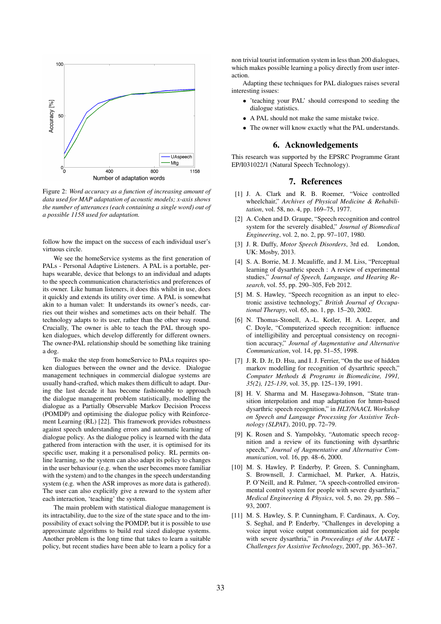

Figure 2: *Word accuracy as a function of increasing amount of data used for MAP adaptation of acoustic models; x-axis shows the number of utterances (each containing a single word) out of a possible 1158 used for adaptation.*

follow how the impact on the success of each individual user's virtuous circle.

We see the homeService systems as the first generation of PALs - Personal Adaptive Listeners. A PAL is a portable, perhaps wearable, device that belongs to an individual and adapts to the speech communication characteristics and preferences of its owner. Like human listeners, it does this whilst in use, does it quickly and extends its utility over time. A PAL is somewhat akin to a human valet: It understands its owner's needs, carries out their wishes and sometimes acts on their behalf. The technology adapts to its user, rather than the other way round. Crucially, The owner is able to teach the PAL through spoken dialogues, which develop differently for different owners. The owner-PAL relationship should be something like training a dog.

To make the step from homeService to PALs requires spoken dialogues between the owner and the device. Dialogue management techniques in commercial dialogue systems are usually hand-crafted, which makes them difficult to adapt. During the last decade it has become fashionable to approach the dialogue management problem statistically, modelling the dialogue as a Partially Observable Markov Decision Process (POMDP) and optimising the dialogue policy with Reinforcement Learning (RL) [22]. This framework provides robustness against speech understanding errors and automatic learning of dialogue policy. As the dialogue policy is learned with the data gathered from interaction with the user, it is optimised for its specific user, making it a personalised policy. RL permits online learning, so the system can also adapt its policy to changes in the user behaviour (e.g. when the user becomes more familiar with the system) and to the changes in the speech understanding system (e.g. when the ASR improves as more data is gathered). The user can also explicitly give a reward to the system after each interaction, 'teaching' the system.

The main problem with statistical dialogue management is its intractability, due to the size of the state space and to the impossibility of exact solving the POMDP, but it is possible to use approximate algorithms to build real sized dialogue systems. Another problem is the long time that takes to learn a suitable policy, but recent studies have been able to learn a policy for a non trivial tourist information system in less than 200 dialogues, which makes possible learning a policy directly from user interaction.

Adapting these techniques for PAL dialogues raises several interesting issues:

- 'teaching your PAL' should correspond to seeding the dialogue statistics.
- A PAL should not make the same mistake twice.
- The owner will know exactly what the PAL understands.

### 6. Acknowledgements

This research was supported by the EPSRC Programme Grant EP/I031022/1 (Natural Speech Technology).

## 7. References

- [1] J. A. Clark and R. B. Roemer, "Voice controlled wheelchair," *Archives of Physical Medicine & Rehabilitation*, vol. 58, no. 4, pp. 169–75, 1977.
- [2] A. Cohen and D. Graupe, "Speech recognition and control system for the severely disabled," *Journal of Biomedical Engineering*, vol. 2, no. 2, pp. 97–107, 1980.
- [3] J. R. Duffy, *Motor Speech Disorders*, 3rd ed. London, UK: Mosby, 2013.
- [4] S. A. Borrie, M. J. Mcauliffe, and J. M. Liss, "Perceptual learning of dysarthric speech : A review of experimental studies," *Journal of Speech, Language, and Hearing Research*, vol. 55, pp. 290–305, Feb 2012.
- [5] M. S. Hawley, "Speech recognition as an input to electronic assistive technology," *British Journal of Occupational Therapy*, vol. 65, no. 1, pp. 15–20, 2002.
- [6] N. Thomas-Stonell, A.-L. Kotler, H. A. Leeper, and C. Doyle, "Computerized speech recognition: influence of intelligibility and perceptual consistency on recognition accuracy," *Journal of Augmentative and Alternative Communication*, vol. 14, pp. 51–55, 1998.
- [7] J. R. D. Jr, D. Hsu, and I. J. Ferrier, "On the use of hidden markov modelling for recognition of dysarthric speech," *Computer Methods & Programs in Biomedicine, 1991, 35(2), 125-139*, vol. 35, pp. 125–139, 1991.
- [8] H. V. Sharma and M. Hasegawa-Johnson, "State transition interpolation and map adaptation for hmm-based dysarthric speech recognition," in *HLT/NAACL Workshop on Speech and Language Processing for Assistive Technology (SLPAT)*, 2010, pp. 72–79.
- [9] K. Rosen and S. Yampolsky, "Automatic speech recognition and a review of its functioning with dysarthric speech," *Journal of Augmentative and Alternative Communication*, vol. 16, pp. 48–6, 2000.
- [10] M. S. Hawley, P. Enderby, P. Green, S. Cunningham, S. Brownsell, J. Carmichael, M. Parker, A. Hatzis, P. O'Neill, and R. Palmer, "A speech-controlled environmental control system for people with severe dysarthria," *Medical Engineering & Physics*, vol. 5, no. 29, pp. 586 – 93, 2007.
- [11] M. S. Hawley, S. P. Cunningham, F. Cardinaux, A. Coy, S. Seghal, and P. Enderby, "Challenges in developing a voice input voice output communication aid for people with severe dysarthria," in *Proceedings of the AAATE - Challenges for Assistive Technology*, 2007, pp. 363–367.